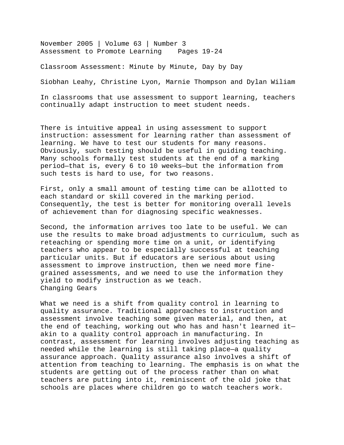November 2005 | Volume 63 | Number 3 Assessment to Promote Learning Pages 19-24

Classroom Assessment: Minute by Minute, Day by Day

Siobhan Leahy, Christine Lyon, Marnie Thompson and Dylan Wiliam

In classrooms that use assessment to support learning, teachers continually adapt instruction to meet student needs.

There is intuitive appeal in using assessment to support instruction: assessment for learning rather than assessment of learning. We have to test our students for many reasons. Obviously, such testing should be useful in guiding teaching. Many schools formally test students at the end of a marking period—that is, every 6 to 10 weeks—but the information from such tests is hard to use, for two reasons.

First, only a small amount of testing time can be allotted to each standard or skill covered in the marking period. Consequently, the test is better for monitoring overall levels of achievement than for diagnosing specific weaknesses.

Second, the information arrives too late to be useful. We can use the results to make broad adjustments to curriculum, such as reteaching or spending more time on a unit, or identifying teachers who appear to be especially successful at teaching particular units. But if educators are serious about using assessment to improve instruction, then we need more finegrained assessments, and we need to use the information they yield to modify instruction as we teach. Changing Gears

What we need is a shift from quality control in learning to quality assurance. Traditional approaches to instruction and assessment involve teaching some given material, and then, at the end of teaching, working out who has and hasn't learned it akin to a quality control approach in manufacturing. In contrast, assessment for learning involves adjusting teaching as needed while the learning is still taking place—a quality assurance approach. Quality assurance also involves a shift of attention from teaching to learning. The emphasis is on what the students are getting out of the process rather than on what teachers are putting into it, reminiscent of the old joke that schools are places where children go to watch teachers work.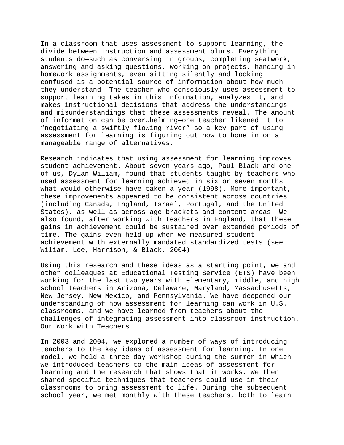In a classroom that uses assessment to support learning, the divide between instruction and assessment blurs. Everything students do—such as conversing in groups, completing seatwork, answering and asking questions, working on projects, handing in homework assignments, even sitting silently and looking confused—is a potential source of information about how much they understand. The teacher who consciously uses assessment to support learning takes in this information, analyzes it, and makes instructional decisions that address the understandings and misunderstandings that these assessments reveal. The amount of information can be overwhelming—one teacher likened it to "negotiating a swiftly flowing river"—so a key part of using assessment for learning is figuring out how to hone in on a manageable range of alternatives.

Research indicates that using assessment for learning improves student achievement. About seven years ago, Paul Black and one of us, Dylan Wiliam, found that students taught by teachers who used assessment for learning achieved in six or seven months what would otherwise have taken a year (1998). More important, these improvements appeared to be consistent across countries (including Canada, England, Israel, Portugal, and the United States), as well as across age brackets and content areas. We also found, after working with teachers in England, that these gains in achievement could be sustained over extended periods of time. The gains even held up when we measured student achievement with externally mandated standardized tests (see Wiliam, Lee, Harrison, & Black, 2004).

Using this research and these ideas as a starting point, we and other colleagues at Educational Testing Service (ETS) have been working for the last two years with elementary, middle, and high school teachers in Arizona, Delaware, Maryland, Massachusetts, New Jersey, New Mexico, and Pennsylvania. We have deepened our understanding of how assessment for learning can work in U.S. classrooms, and we have learned from teachers about the challenges of integrating assessment into classroom instruction. Our Work with Teachers

In 2003 and 2004, we explored a number of ways of introducing teachers to the key ideas of assessment for learning. In one model, we held a three-day workshop during the summer in which we introduced teachers to the main ideas of assessment for learning and the research that shows that it works. We then shared specific techniques that teachers could use in their classrooms to bring assessment to life. During the subsequent school year, we met monthly with these teachers, both to learn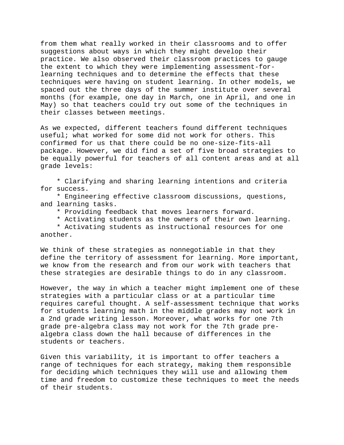from them what really worked in their classrooms and to offer suggestions about ways in which they might develop their practice. We also observed their classroom practices to gauge the extent to which they were implementing assessment-forlearning techniques and to determine the effects that these techniques were having on student learning. In other models, we spaced out the three days of the summer institute over several months (for example, one day in March, one in April, and one in May) so that teachers could try out some of the techniques in their classes between meetings.

As we expected, different teachers found different techniques useful; what worked for some did not work for others. This confirmed for us that there could be no one-size-fits-all package. However, we did find a set of five broad strategies to be equally powerful for teachers of all content areas and at all grade levels:

 \* Clarifying and sharing learning intentions and criteria for success.

 \* Engineering effective classroom discussions, questions, and learning tasks.

\* Providing feedback that moves learners forward.

\* Activating students as the owners of their own learning.

 \* Activating students as instructional resources for one another.

We think of these strategies as nonnegotiable in that they define the territory of assessment for learning. More important, we know from the research and from our work with teachers that these strategies are desirable things to do in any classroom.

However, the way in which a teacher might implement one of these strategies with a particular class or at a particular time requires careful thought. A self-assessment technique that works for students learning math in the middle grades may not work in a 2nd grade writing lesson. Moreover, what works for one 7th grade pre-algebra class may not work for the 7th grade prealgebra class down the hall because of differences in the students or teachers.

Given this variability, it is important to offer teachers a range of techniques for each strategy, making them responsible for deciding which techniques they will use and allowing them time and freedom to customize these techniques to meet the needs of their students.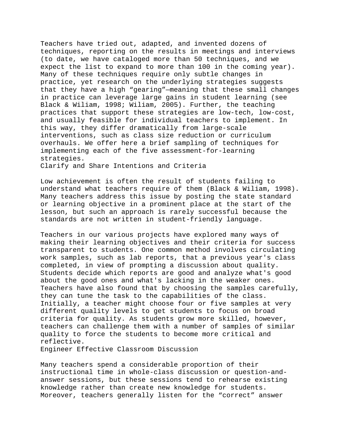Teachers have tried out, adapted, and invented dozens of techniques, reporting on the results in meetings and interviews (to date, we have cataloged more than 50 techniques, and we expect the list to expand to more than 100 in the coming year). Many of these techniques require only subtle changes in practice, yet research on the underlying strategies suggests that they have a high "gearing"—meaning that these small changes in practice can leverage large gains in student learning (see Black & Wiliam, 1998; Wiliam, 2005). Further, the teaching practices that support these strategies are low-tech, low-cost, and usually feasible for individual teachers to implement. In this way, they differ dramatically from large-scale interventions, such as class size reduction or curriculum overhauls. We offer here a brief sampling of techniques for implementing each of the five assessment-for-learning strategies.

Clarify and Share Intentions and Criteria

Low achievement is often the result of students failing to understand what teachers require of them (Black & Wiliam, 1998). Many teachers address this issue by posting the state standard or learning objective in a prominent place at the start of the lesson, but such an approach is rarely successful because the standards are not written in student-friendly language.

Teachers in our various projects have explored many ways of making their learning objectives and their criteria for success transparent to students. One common method involves circulating work samples, such as lab reports, that a previous year's class completed, in view of prompting a discussion about quality. Students decide which reports are good and analyze what's good about the good ones and what's lacking in the weaker ones. Teachers have also found that by choosing the samples carefully, they can tune the task to the capabilities of the class. Initially, a teacher might choose four or five samples at very different quality levels to get students to focus on broad criteria for quality. As students grow more skilled, however, teachers can challenge them with a number of samples of similar quality to force the students to become more critical and reflective.

Engineer Effective Classroom Discussion

Many teachers spend a considerable proportion of their instructional time in whole-class discussion or question-andanswer sessions, but these sessions tend to rehearse existing knowledge rather than create new knowledge for students. Moreover, teachers generally listen for the "correct" answer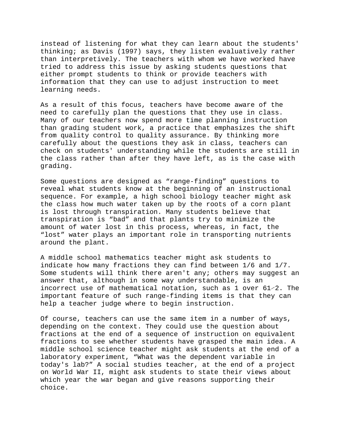instead of listening for what they can learn about the students' thinking; as Davis (1997) says, they listen evaluatively rather than interpretively. The teachers with whom we have worked have tried to address this issue by asking students questions that either prompt students to think or provide teachers with information that they can use to adjust instruction to meet learning needs.

As a result of this focus, teachers have become aware of the need to carefully plan the questions that they use in class. Many of our teachers now spend more time planning instruction than grading student work, a practice that emphasizes the shift from quality control to quality assurance. By thinking more carefully about the questions they ask in class, teachers can check on students' understanding while the students are still in the class rather than after they have left, as is the case with grading.

Some questions are designed as "range-finding" questions to reveal what students know at the beginning of an instructional sequence. For example, a high school biology teacher might ask the class how much water taken up by the roots of a corn plant is lost through transpiration. Many students believe that transpiration is "bad" and that plants try to minimize the amount of water lost in this process, whereas, in fact, the "lost" water plays an important role in transporting nutrients around the plant.

A middle school mathematics teacher might ask students to indicate how many fractions they can find between 1/6 and 1/7. Some students will think there aren't any; others may suggest an answer that, although in some way understandable, is an incorrect use of mathematical notation, such as 1 over 61⁄2. The important feature of such range-finding items is that they can help a teacher judge where to begin instruction.

Of course, teachers can use the same item in a number of ways, depending on the context. They could use the question about fractions at the end of a sequence of instruction on equivalent fractions to see whether students have grasped the main idea. A middle school science teacher might ask students at the end of a laboratory experiment, "What was the dependent variable in today's lab?" A social studies teacher, at the end of a project on World War II, might ask students to state their views about which year the war began and give reasons supporting their choice.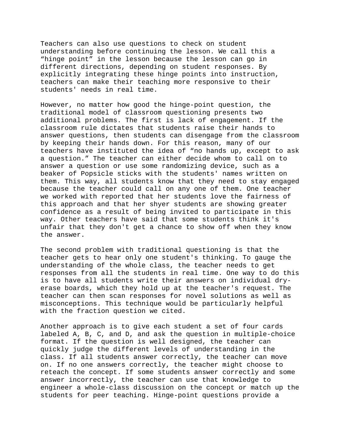Teachers can also use questions to check on student understanding before continuing the lesson. We call this a "hinge point" in the lesson because the lesson can go in different directions, depending on student responses. By explicitly integrating these hinge points into instruction, teachers can make their teaching more responsive to their students' needs in real time.

However, no matter how good the hinge-point question, the traditional model of classroom questioning presents two additional problems. The first is lack of engagement. If the classroom rule dictates that students raise their hands to answer questions, then students can disengage from the classroom by keeping their hands down. For this reason, many of our teachers have instituted the idea of "no hands up, except to ask a question." The teacher can either decide whom to call on to answer a question or use some randomizing device, such as a beaker of Popsicle sticks with the students' names written on them. This way, all students know that they need to stay engaged because the teacher could call on any one of them. One teacher we worked with reported that her students love the fairness of this approach and that her shyer students are showing greater confidence as a result of being invited to participate in this way. Other teachers have said that some students think it's unfair that they don't get a chance to show off when they know the answer.

The second problem with traditional questioning is that the teacher gets to hear only one student's thinking. To gauge the understanding of the whole class, the teacher needs to get responses from all the students in real time. One way to do this is to have all students write their answers on individual dryerase boards, which they hold up at the teacher's request. The teacher can then scan responses for novel solutions as well as misconceptions. This technique would be particularly helpful with the fraction question we cited.

Another approach is to give each student a set of four cards labeled A, B, C, and D, and ask the question in multiple-choice format. If the question is well designed, the teacher can quickly judge the different levels of understanding in the class. If all students answer correctly, the teacher can move on. If no one answers correctly, the teacher might choose to reteach the concept. If some students answer correctly and some answer incorrectly, the teacher can use that knowledge to engineer a whole-class discussion on the concept or match up the students for peer teaching. Hinge-point questions provide a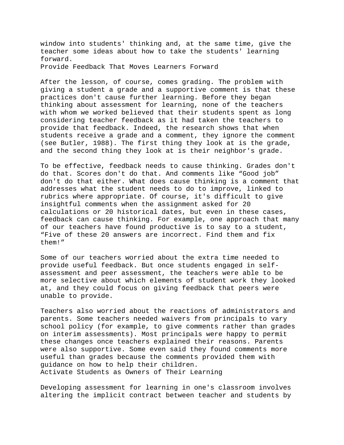window into students' thinking and, at the same time, give the teacher some ideas about how to take the students' learning forward. Provide Feedback That Moves Learners Forward

After the lesson, of course, comes grading. The problem with giving a student a grade and a supportive comment is that these practices don't cause further learning. Before they began thinking about assessment for learning, none of the teachers with whom we worked believed that their students spent as long considering teacher feedback as it had taken the teachers to provide that feedback. Indeed, the research shows that when students receive a grade and a comment, they ignore the comment (see Butler, 1988). The first thing they look at is the grade, and the second thing they look at is their neighbor's grade.

To be effective, feedback needs to cause thinking. Grades don't do that. Scores don't do that. And comments like "Good job" don't do that either. What does cause thinking is a comment that addresses what the student needs to do to improve, linked to rubrics where appropriate. Of course, it's difficult to give insightful comments when the assignment asked for 20 calculations or 20 historical dates, but even in these cases, feedback can cause thinking. For example, one approach that many of our teachers have found productive is to say to a student, "Five of these 20 answers are incorrect. Find them and fix them!"

Some of our teachers worried about the extra time needed to provide useful feedback. But once students engaged in selfassessment and peer assessment, the teachers were able to be more selective about which elements of student work they looked at, and they could focus on giving feedback that peers were unable to provide.

Teachers also worried about the reactions of administrators and parents. Some teachers needed waivers from principals to vary school policy (for example, to give comments rather than grades on interim assessments). Most principals were happy to permit these changes once teachers explained their reasons. Parents were also supportive. Some even said they found comments more useful than grades because the comments provided them with guidance on how to help their children. Activate Students as Owners of Their Learning

Developing assessment for learning in one's classroom involves altering the implicit contract between teacher and students by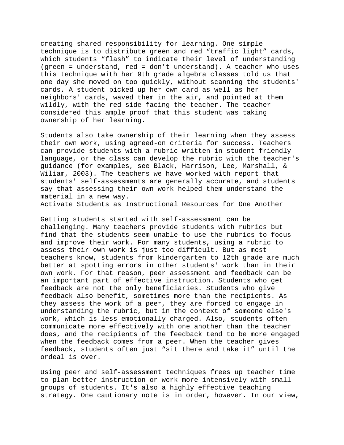creating shared responsibility for learning. One simple technique is to distribute green and red "traffic light" cards, which students "flash" to indicate their level of understanding (green = understand, red = don't understand). A teacher who uses this technique with her 9th grade algebra classes told us that one day she moved on too quickly, without scanning the students' cards. A student picked up her own card as well as her neighbors' cards, waved them in the air, and pointed at them wildly, with the red side facing the teacher. The teacher considered this ample proof that this student was taking ownership of her learning.

Students also take ownership of their learning when they assess their own work, using agreed-on criteria for success. Teachers can provide students with a rubric written in student-friendly language, or the class can develop the rubric with the teacher's guidance (for examples, see Black, Harrison, Lee, Marshall, & Wiliam, 2003). The teachers we have worked with report that students' self-assessments are generally accurate, and students say that assessing their own work helped them understand the material in a new way.

Activate Students as Instructional Resources for One Another

Getting students started with self-assessment can be challenging. Many teachers provide students with rubrics but find that the students seem unable to use the rubrics to focus and improve their work. For many students, using a rubric to assess their own work is just too difficult. But as most teachers know, students from kindergarten to 12th grade are much better at spotting errors in other students' work than in their own work. For that reason, peer assessment and feedback can be an important part of effective instruction. Students who get feedback are not the only beneficiaries. Students who give feedback also benefit, sometimes more than the recipients. As they assess the work of a peer, they are forced to engage in understanding the rubric, but in the context of someone else's work, which is less emotionally charged. Also, students often communicate more effectively with one another than the teacher does, and the recipients of the feedback tend to be more engaged when the feedback comes from a peer. When the teacher gives feedback, students often just "sit there and take it" until the ordeal is over.

Using peer and self-assessment techniques frees up teacher time to plan better instruction or work more intensively with small groups of students. It's also a highly effective teaching strategy. One cautionary note is in order, however. In our view,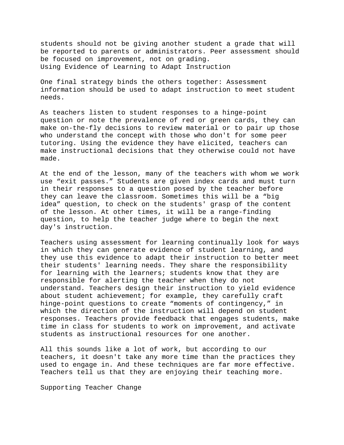students should not be giving another student a grade that will be reported to parents or administrators. Peer assessment should be focused on improvement, not on grading. Using Evidence of Learning to Adapt Instruction

One final strategy binds the others together: Assessment information should be used to adapt instruction to meet student needs.

As teachers listen to student responses to a hinge-point question or note the prevalence of red or green cards, they can make on-the-fly decisions to review material or to pair up those who understand the concept with those who don't for some peer tutoring. Using the evidence they have elicited, teachers can make instructional decisions that they otherwise could not have made.

At the end of the lesson, many of the teachers with whom we work use "exit passes." Students are given index cards and must turn in their responses to a question posed by the teacher before they can leave the classroom. Sometimes this will be a "big idea" question, to check on the students' grasp of the content of the lesson. At other times, it will be a range-finding question, to help the teacher judge where to begin the next day's instruction.

Teachers using assessment for learning continually look for ways in which they can generate evidence of student learning, and they use this evidence to adapt their instruction to better meet their students' learning needs. They share the responsibility for learning with the learners; students know that they are responsible for alerting the teacher when they do not understand. Teachers design their instruction to yield evidence about student achievement; for example, they carefully craft hinge-point questions to create "moments of contingency," in which the direction of the instruction will depend on student responses. Teachers provide feedback that engages students, make time in class for students to work on improvement, and activate students as instructional resources for one another.

All this sounds like a lot of work, but according to our teachers, it doesn't take any more time than the practices they used to engage in. And these techniques are far more effective. Teachers tell us that they are enjoying their teaching more.

Supporting Teacher Change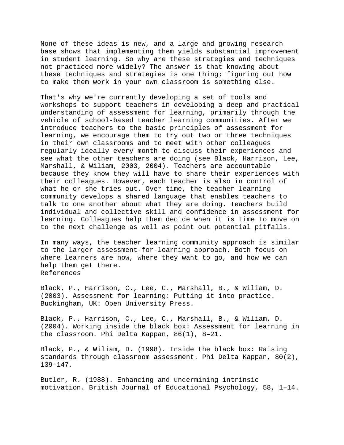None of these ideas is new, and a large and growing research base shows that implementing them yields substantial improvement in student learning. So why are these strategies and techniques not practiced more widely? The answer is that knowing about these techniques and strategies is one thing; figuring out how to make them work in your own classroom is something else.

That's why we're currently developing a set of tools and workshops to support teachers in developing a deep and practical understanding of assessment for learning, primarily through the vehicle of school-based teacher learning communities. After we introduce teachers to the basic principles of assessment for learning, we encourage them to try out two or three techniques in their own classrooms and to meet with other colleagues regularly—ideally every month—to discuss their experiences and see what the other teachers are doing (see Black, Harrison, Lee, Marshall, & Wiliam, 2003, 2004). Teachers are accountable because they know they will have to share their experiences with their colleagues. However, each teacher is also in control of what he or she tries out. Over time, the teacher learning community develops a shared language that enables teachers to talk to one another about what they are doing. Teachers build individual and collective skill and confidence in assessment for learning. Colleagues help them decide when it is time to move on to the next challenge as well as point out potential pitfalls.

In many ways, the teacher learning community approach is similar to the larger assessment-for-learning approach. Both focus on where learners are now, where they want to go, and how we can help them get there. References

Black, P., Harrison, C., Lee, C., Marshall, B., & Wiliam, D. (2003). Assessment for learning: Putting it into practice. Buckingham, UK: Open University Press.

Black, P., Harrison, C., Lee, C., Marshall, B., & Wiliam, D. (2004). Working inside the black box: Assessment for learning in the classroom. Phi Delta Kappan, 86(1), 8–21.

Black, P., & Wiliam, D. (1998). Inside the black box: Raising standards through classroom assessment. Phi Delta Kappan, 80(2), 139–147.

Butler, R. (1988). Enhancing and undermining intrinsic motivation. British Journal of Educational Psychology, 58, 1–14.